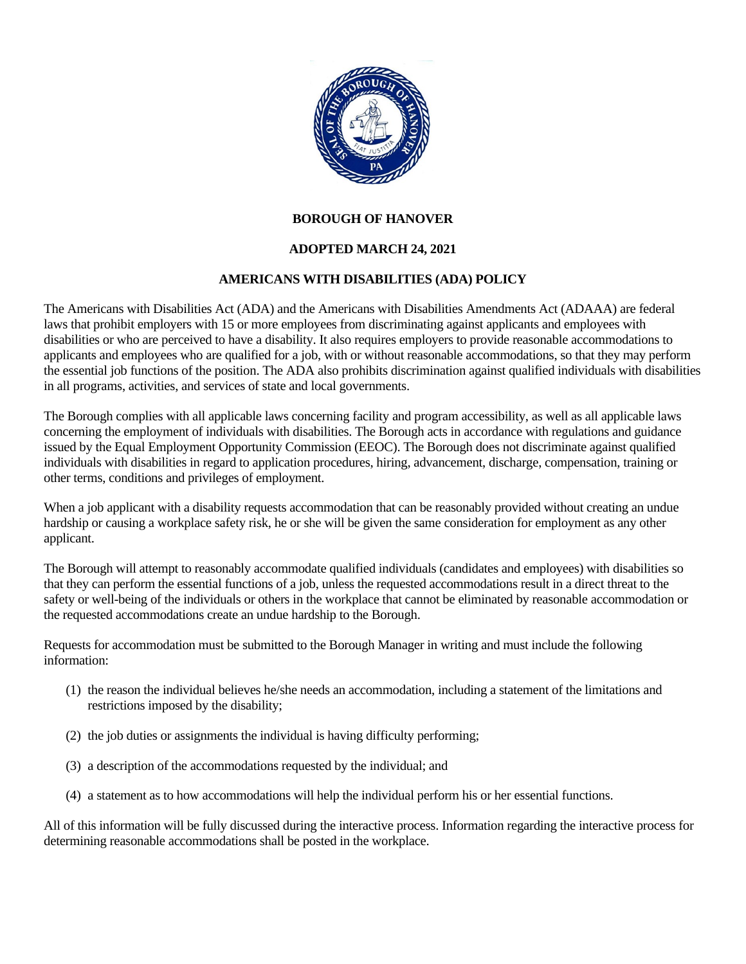

## **BOROUGH OF HANOVER**

## **ADOPTED MARCH 24, 2021**

## **AMERICANS WITH DISABILITIES (ADA) POLICY**

The Americans with Disabilities Act (ADA) and the Americans with Disabilities Amendments Act (ADAAA) are federal laws that prohibit employers with 15 or more employees from discriminating against applicants and employees with disabilities or who are perceived to have a disability. It also requires employers to provide reasonable accommodations to applicants and employees who are qualified for a job, with or without reasonable accommodations, so that they may perform the essential job functions of the position. The ADA also prohibits discrimination against qualified individuals with disabilities in all programs, activities, and services of state and local governments.

The Borough complies with all applicable laws concerning facility and program accessibility, as well as all applicable laws concerning the employment of individuals with disabilities. The Borough acts in accordance with regulations and guidance issued by the Equal Employment Opportunity Commission (EEOC). The Borough does not discriminate against qualified individuals with disabilities in regard to application procedures, hiring, advancement, discharge, compensation, training or other terms, conditions and privileges of employment.

When a job applicant with a disability requests accommodation that can be reasonably provided without creating an undue hardship or causing a workplace safety risk, he or she will be given the same consideration for employment as any other applicant.

The Borough will attempt to reasonably accommodate qualified individuals (candidates and employees) with disabilities so that they can perform the essential functions of a job, unless the requested accommodations result in a direct threat to the safety or well-being of the individuals or others in the workplace that cannot be eliminated by reasonable accommodation or the requested accommodations create an undue hardship to the Borough.

Requests for accommodation must be submitted to the Borough Manager in writing and must include the following information:

- (1) the reason the individual believes he/she needs an accommodation, including a statement of the limitations and restrictions imposed by the disability;
- (2) the job duties or assignments the individual is having difficulty performing;
- (3) a description of the accommodations requested by the individual; and
- (4) a statement as to how accommodations will help the individual perform his or her essential functions.

All of this information will be fully discussed during the interactive process. Information regarding the interactive process for determining reasonable accommodations shall be posted in the workplace.